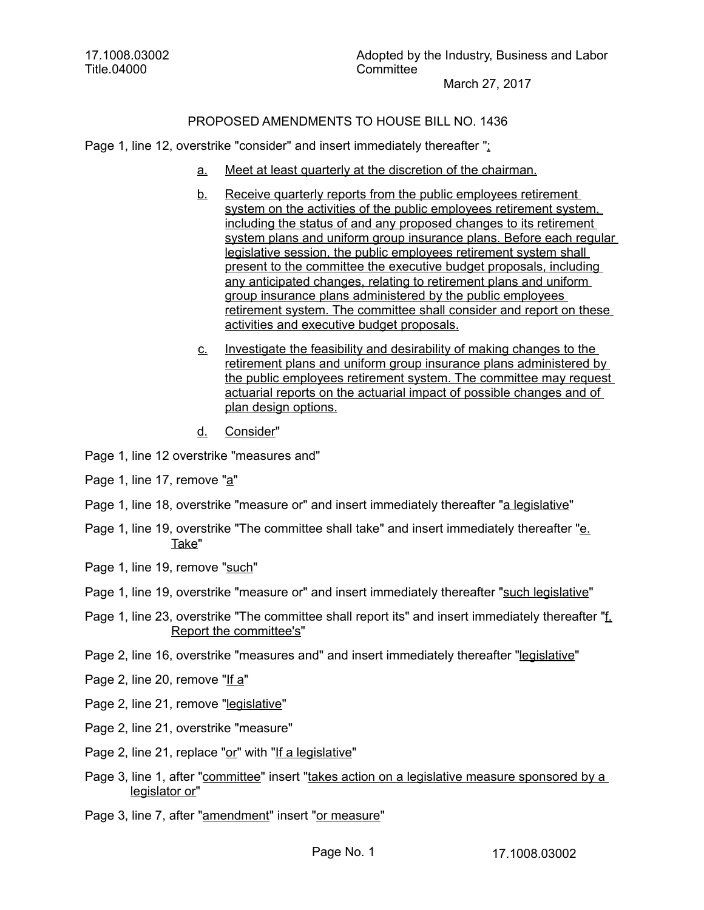17.1008.03002 Title.04000

## PROPOSED AMENDMENTS TO HOUSE BILL NO. 1436

Page 1, line 12, overstrike "consider" and insert immediately thereafter ":

- a. Meet at least quarterly at the discretion of the chairman.
- b. Receive quarterly reports from the public employees retirement system on the activities of the public employees retirement system, including the status of and any proposed changes to its retirement system plans and uniform group insurance plans. Before each regular legislative session, the public employees retirement system shall present to the committee the executive budget proposals, including any anticipated changes, relating to retirement plans and uniform group insurance plans administered by the public employees retirement system. The committee shall consider and report on these activities and executive budget proposals.
- c. Investigate the feasibility and desirability of making changes to the retirement plans and uniform group insurance plans administered by the public employees retirement system. The committee may request actuarial reports on the actuarial impact of possible changes and of plan design options.
- d. Consider"
- Page 1, line 12 overstrike "measures and"
- Page 1, line 17, remove "a"
- Page 1, line 18, overstrike "measure or" and insert immediately thereafter "a legislative"
- Page 1, line 19, overstrike "The committee shall take" and insert immediately thereafter "e. Take"
- Page 1, line 19, remove "such"
- Page 1, line 19, overstrike "measure or" and insert immediately thereafter "such legislative"
- Page 1, line 23, overstrike "The committee shall report its" and insert immediately thereafter "f. Report the committee's"
- Page 2, line 16, overstrike "measures and" and insert immediately thereafter "legislative"
- Page 2, line 20, remove "If a"
- Page 2, line 21, remove "legislative"
- Page 2, line 21, overstrike "measure"
- Page 2, line 21, replace "or" with "If a legislative"
- Page 3, line 1, after "committee" insert "takes action on a legislative measure sponsored by a legislator or"
- Page 3, line 7, after "amendment" insert "or measure"